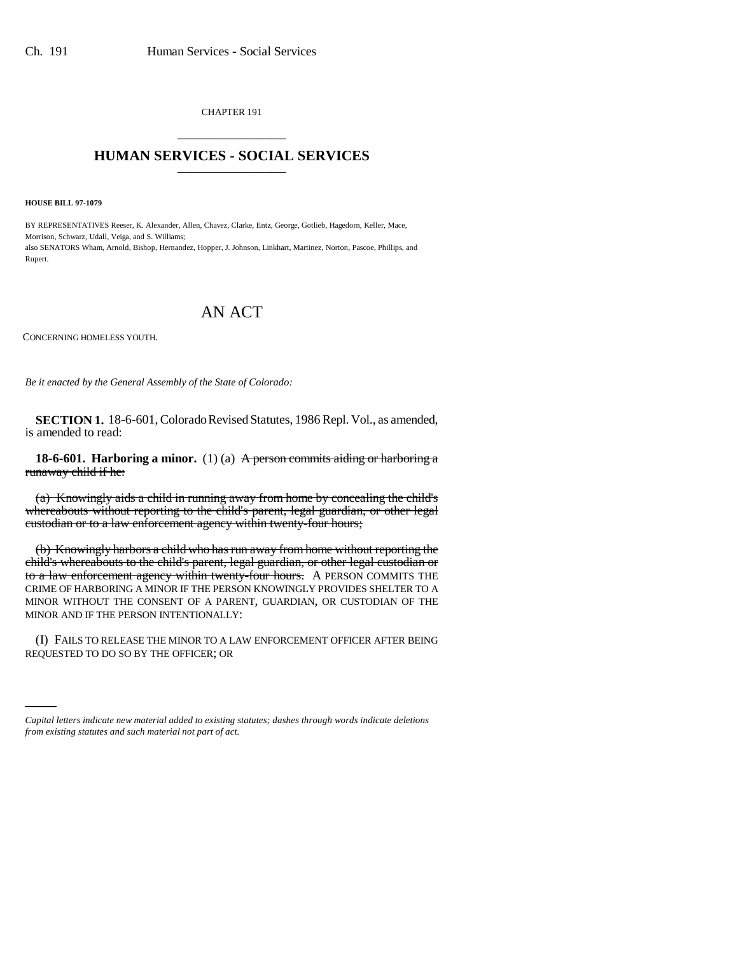CHAPTER 191 \_\_\_\_\_\_\_\_\_\_\_\_\_\_\_

## **HUMAN SERVICES - SOCIAL SERVICES** \_\_\_\_\_\_\_\_\_\_\_\_\_\_\_

**HOUSE BILL 97-1079**

BY REPRESENTATIVES Reeser, K. Alexander, Allen, Chavez, Clarke, Entz, George, Gotlieb, Hagedorn, Keller, Mace, Morrison, Schwarz, Udall, Veiga, and S. Williams; also SENATORS Wham, Arnold, Bishop, Hernandez, Hopper, J. Johnson, Linkhart, Martinez, Norton, Pascoe, Phillips, and Rupert.

## AN ACT

CONCERNING HOMELESS YOUTH.

*Be it enacted by the General Assembly of the State of Colorado:*

**SECTION 1.** 18-6-601, Colorado Revised Statutes, 1986 Repl. Vol., as amended, is amended to read:

**18-6-601. Harboring a minor.** (1) (a) A person commits aiding or harboring a runaway child if he:

(a) Knowingly aids a child in running away from home by concealing the child's whereabouts without reporting to the child's parent, legal guardian, or other legal custodian or to a law enforcement agency within twenty-four hours;

(b) Knowingly harbors a child who has run away from home without reporting the child's whereabouts to the child's parent, legal guardian, or other legal custodian or to a law enforcement agency within twenty-four hours. A PERSON COMMITS THE CRIME OF HARBORING A MINOR IF THE PERSON KNOWINGLY PROVIDES SHELTER TO A MINOR WITHOUT THE CONSENT OF A PARENT, GUARDIAN, OR CUSTODIAN OF THE MINOR AND IF THE PERSON INTENTIONALLY:

(I) FAILS TO RELEASE THE MINOR TO A LAW ENFORCEMENT OFFICER AFTER BEING REQUESTED TO DO SO BY THE OFFICER; OR

*Capital letters indicate new material added to existing statutes; dashes through words indicate deletions from existing statutes and such material not part of act.*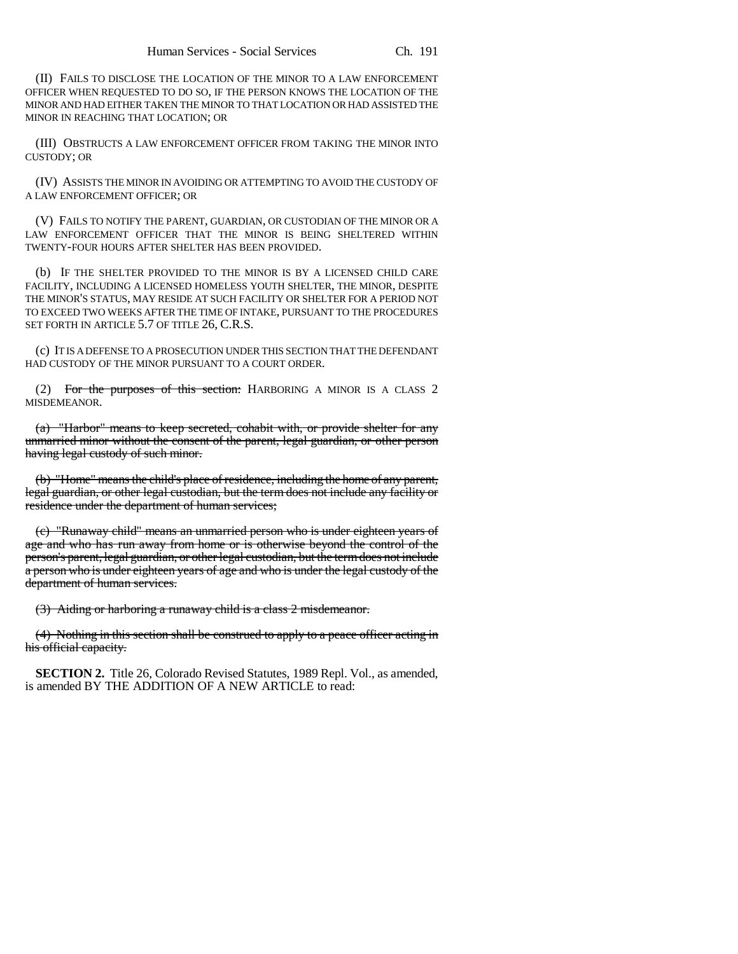(II) FAILS TO DISCLOSE THE LOCATION OF THE MINOR TO A LAW ENFORCEMENT OFFICER WHEN REQUESTED TO DO SO, IF THE PERSON KNOWS THE LOCATION OF THE MINOR AND HAD EITHER TAKEN THE MINOR TO THAT LOCATION OR HAD ASSISTED THE MINOR IN REACHING THAT LOCATION; OR

(III) OBSTRUCTS A LAW ENFORCEMENT OFFICER FROM TAKING THE MINOR INTO CUSTODY; OR

(IV) ASSISTS THE MINOR IN AVOIDING OR ATTEMPTING TO AVOID THE CUSTODY OF A LAW ENFORCEMENT OFFICER; OR

(V) FAILS TO NOTIFY THE PARENT, GUARDIAN, OR CUSTODIAN OF THE MINOR OR A LAW ENFORCEMENT OFFICER THAT THE MINOR IS BEING SHELTERED WITHIN TWENTY-FOUR HOURS AFTER SHELTER HAS BEEN PROVIDED.

(b) IF THE SHELTER PROVIDED TO THE MINOR IS BY A LICENSED CHILD CARE FACILITY, INCLUDING A LICENSED HOMELESS YOUTH SHELTER, THE MINOR, DESPITE THE MINOR'S STATUS, MAY RESIDE AT SUCH FACILITY OR SHELTER FOR A PERIOD NOT TO EXCEED TWO WEEKS AFTER THE TIME OF INTAKE, PURSUANT TO THE PROCEDURES SET FORTH IN ARTICLE 5.7 OF TITLE 26, C.R.S.

(c) IT IS A DEFENSE TO A PROSECUTION UNDER THIS SECTION THAT THE DEFENDANT HAD CUSTODY OF THE MINOR PURSUANT TO A COURT ORDER.

(2) For the purposes of this section: HARBORING A MINOR IS A CLASS 2 MISDEMEANOR.

(a) "Harbor" means to keep secreted, cohabit with, or provide shelter for any unmarried minor without the consent of the parent, legal guardian, or other person having legal custody of such minor.

(b) "Home" means the child's place of residence, including the home of any parent, legal guardian, or other legal custodian, but the term does not include any facility or residence under the department of human services;

(c) "Runaway child" means an unmarried person who is under eighteen years of age and who has run away from home or is otherwise beyond the control of the person's parent, legal guardian, or other legal custodian, but the term does not include a person who is under eighteen years of age and who is under the legal custody of the department of human services.

(3) Aiding or harboring a runaway child is a class 2 misdemeanor.

(4) Nothing in this section shall be construed to apply to a peace officer acting in his official capacity.

**SECTION 2.** Title 26, Colorado Revised Statutes, 1989 Repl. Vol., as amended, is amended BY THE ADDITION OF A NEW ARTICLE to read: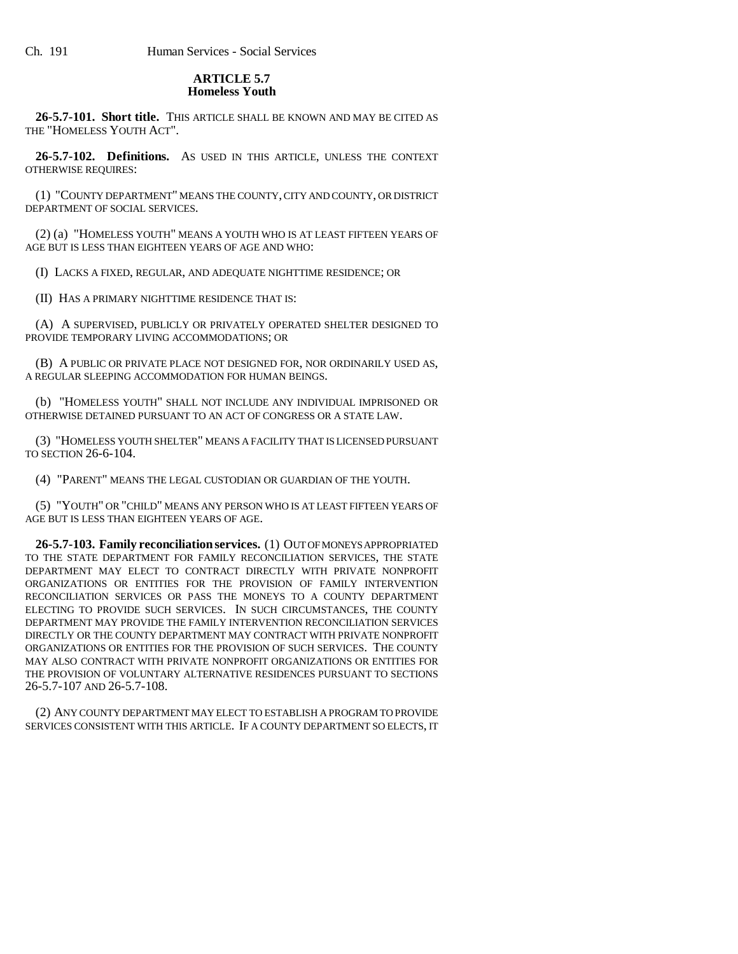## **ARTICLE 5.7 Homeless Youth**

**26-5.7-101. Short title.** THIS ARTICLE SHALL BE KNOWN AND MAY BE CITED AS THE "HOMELESS YOUTH ACT".

**26-5.7-102. Definitions.** AS USED IN THIS ARTICLE, UNLESS THE CONTEXT OTHERWISE REQUIRES:

(1) "COUNTY DEPARTMENT" MEANS THE COUNTY, CITY AND COUNTY, OR DISTRICT DEPARTMENT OF SOCIAL SERVICES.

(2) (a) "HOMELESS YOUTH" MEANS A YOUTH WHO IS AT LEAST FIFTEEN YEARS OF AGE BUT IS LESS THAN EIGHTEEN YEARS OF AGE AND WHO:

(I) LACKS A FIXED, REGULAR, AND ADEQUATE NIGHTTIME RESIDENCE; OR

(II) HAS A PRIMARY NIGHTTIME RESIDENCE THAT IS:

(A) A SUPERVISED, PUBLICLY OR PRIVATELY OPERATED SHELTER DESIGNED TO PROVIDE TEMPORARY LIVING ACCOMMODATIONS; OR

(B) A PUBLIC OR PRIVATE PLACE NOT DESIGNED FOR, NOR ORDINARILY USED AS, A REGULAR SLEEPING ACCOMMODATION FOR HUMAN BEINGS.

(b) "HOMELESS YOUTH" SHALL NOT INCLUDE ANY INDIVIDUAL IMPRISONED OR OTHERWISE DETAINED PURSUANT TO AN ACT OF CONGRESS OR A STATE LAW.

(3) "HOMELESS YOUTH SHELTER" MEANS A FACILITY THAT IS LICENSED PURSUANT TO SECTION 26-6-104.

(4) "PARENT" MEANS THE LEGAL CUSTODIAN OR GUARDIAN OF THE YOUTH.

(5) "YOUTH" OR "CHILD" MEANS ANY PERSON WHO IS AT LEAST FIFTEEN YEARS OF AGE BUT IS LESS THAN EIGHTEEN YEARS OF AGE.

**26-5.7-103. Family reconciliation services.** (1) OUT OF MONEYS APPROPRIATED TO THE STATE DEPARTMENT FOR FAMILY RECONCILIATION SERVICES, THE STATE DEPARTMENT MAY ELECT TO CONTRACT DIRECTLY WITH PRIVATE NONPROFIT ORGANIZATIONS OR ENTITIES FOR THE PROVISION OF FAMILY INTERVENTION RECONCILIATION SERVICES OR PASS THE MONEYS TO A COUNTY DEPARTMENT ELECTING TO PROVIDE SUCH SERVICES. IN SUCH CIRCUMSTANCES, THE COUNTY DEPARTMENT MAY PROVIDE THE FAMILY INTERVENTION RECONCILIATION SERVICES DIRECTLY OR THE COUNTY DEPARTMENT MAY CONTRACT WITH PRIVATE NONPROFIT ORGANIZATIONS OR ENTITIES FOR THE PROVISION OF SUCH SERVICES. THE COUNTY MAY ALSO CONTRACT WITH PRIVATE NONPROFIT ORGANIZATIONS OR ENTITIES FOR THE PROVISION OF VOLUNTARY ALTERNATIVE RESIDENCES PURSUANT TO SECTIONS 26-5.7-107 AND 26-5.7-108.

(2) ANY COUNTY DEPARTMENT MAY ELECT TO ESTABLISH A PROGRAM TO PROVIDE SERVICES CONSISTENT WITH THIS ARTICLE. IF A COUNTY DEPARTMENT SO ELECTS, IT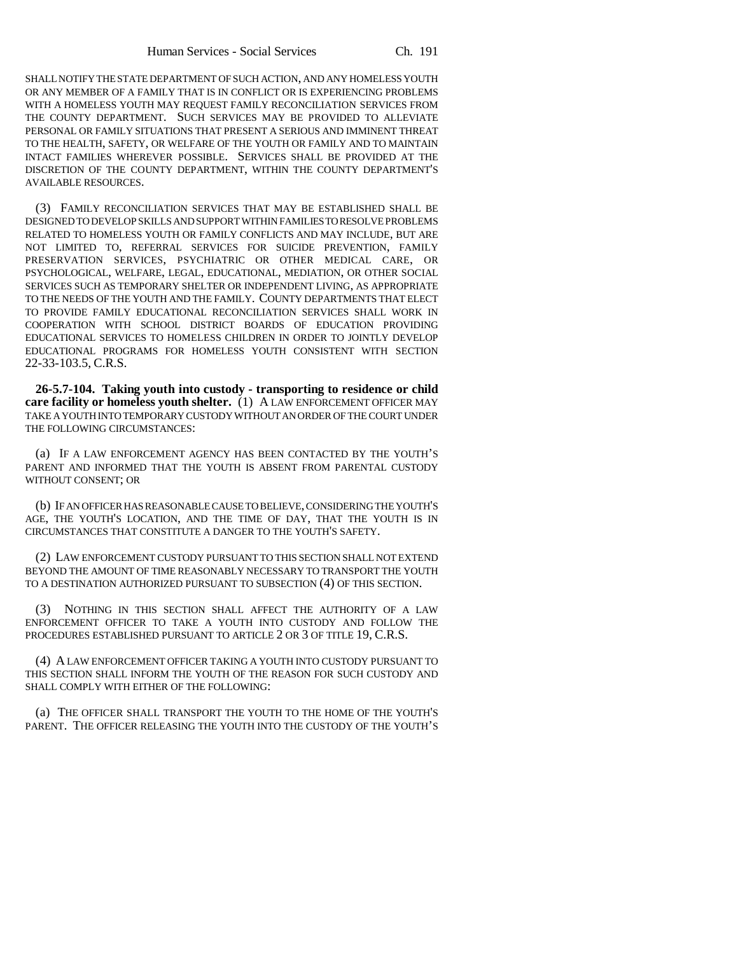SHALL NOTIFY THE STATE DEPARTMENT OF SUCH ACTION, AND ANY HOMELESS YOUTH OR ANY MEMBER OF A FAMILY THAT IS IN CONFLICT OR IS EXPERIENCING PROBLEMS WITH A HOMELESS YOUTH MAY REQUEST FAMILY RECONCILIATION SERVICES FROM THE COUNTY DEPARTMENT. SUCH SERVICES MAY BE PROVIDED TO ALLEVIATE PERSONAL OR FAMILY SITUATIONS THAT PRESENT A SERIOUS AND IMMINENT THREAT TO THE HEALTH, SAFETY, OR WELFARE OF THE YOUTH OR FAMILY AND TO MAINTAIN INTACT FAMILIES WHEREVER POSSIBLE. SERVICES SHALL BE PROVIDED AT THE DISCRETION OF THE COUNTY DEPARTMENT, WITHIN THE COUNTY DEPARTMENT'S AVAILABLE RESOURCES.

(3) FAMILY RECONCILIATION SERVICES THAT MAY BE ESTABLISHED SHALL BE DESIGNED TO DEVELOP SKILLS AND SUPPORT WITHIN FAMILIES TO RESOLVE PROBLEMS RELATED TO HOMELESS YOUTH OR FAMILY CONFLICTS AND MAY INCLUDE, BUT ARE NOT LIMITED TO, REFERRAL SERVICES FOR SUICIDE PREVENTION, FAMILY PRESERVATION SERVICES, PSYCHIATRIC OR OTHER MEDICAL CARE, OR PSYCHOLOGICAL, WELFARE, LEGAL, EDUCATIONAL, MEDIATION, OR OTHER SOCIAL SERVICES SUCH AS TEMPORARY SHELTER OR INDEPENDENT LIVING, AS APPROPRIATE TO THE NEEDS OF THE YOUTH AND THE FAMILY. COUNTY DEPARTMENTS THAT ELECT TO PROVIDE FAMILY EDUCATIONAL RECONCILIATION SERVICES SHALL WORK IN COOPERATION WITH SCHOOL DISTRICT BOARDS OF EDUCATION PROVIDING EDUCATIONAL SERVICES TO HOMELESS CHILDREN IN ORDER TO JOINTLY DEVELOP EDUCATIONAL PROGRAMS FOR HOMELESS YOUTH CONSISTENT WITH SECTION 22-33-103.5, C.R.S.

**26-5.7-104. Taking youth into custody - transporting to residence or child care facility or homeless youth shelter.** (1) A LAW ENFORCEMENT OFFICER MAY TAKE A YOUTH INTO TEMPORARY CUSTODY WITHOUT AN ORDER OF THE COURT UNDER THE FOLLOWING CIRCUMSTANCES:

(a) IF A LAW ENFORCEMENT AGENCY HAS BEEN CONTACTED BY THE YOUTH'S PARENT AND INFORMED THAT THE YOUTH IS ABSENT FROM PARENTAL CUSTODY WITHOUT CONSENT; OR

(b) IF AN OFFICER HAS REASONABLE CAUSE TO BELIEVE, CONSIDERING THE YOUTH'S AGE, THE YOUTH'S LOCATION, AND THE TIME OF DAY, THAT THE YOUTH IS IN CIRCUMSTANCES THAT CONSTITUTE A DANGER TO THE YOUTH'S SAFETY.

(2) LAW ENFORCEMENT CUSTODY PURSUANT TO THIS SECTION SHALL NOT EXTEND BEYOND THE AMOUNT OF TIME REASONABLY NECESSARY TO TRANSPORT THE YOUTH TO A DESTINATION AUTHORIZED PURSUANT TO SUBSECTION (4) OF THIS SECTION.

(3) NOTHING IN THIS SECTION SHALL AFFECT THE AUTHORITY OF A LAW ENFORCEMENT OFFICER TO TAKE A YOUTH INTO CUSTODY AND FOLLOW THE PROCEDURES ESTABLISHED PURSUANT TO ARTICLE 2 OR 3 OF TITLE 19, C.R.S.

(4) A LAW ENFORCEMENT OFFICER TAKING A YOUTH INTO CUSTODY PURSUANT TO THIS SECTION SHALL INFORM THE YOUTH OF THE REASON FOR SUCH CUSTODY AND SHALL COMPLY WITH EITHER OF THE FOLLOWING:

(a) THE OFFICER SHALL TRANSPORT THE YOUTH TO THE HOME OF THE YOUTH'S PARENT. THE OFFICER RELEASING THE YOUTH INTO THE CUSTODY OF THE YOUTH'S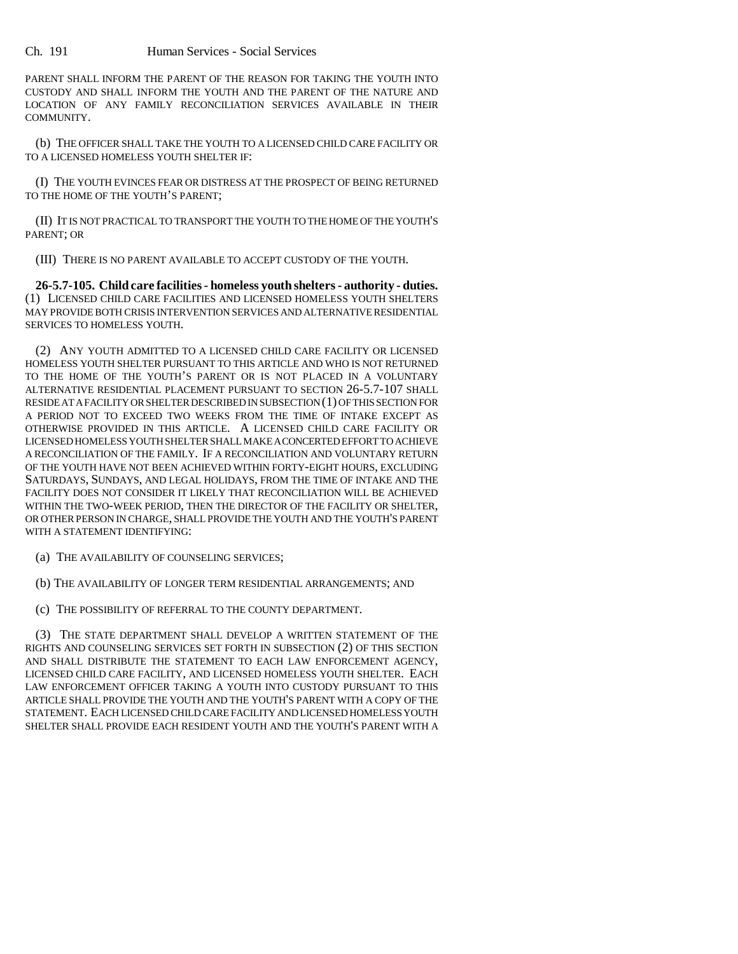PARENT SHALL INFORM THE PARENT OF THE REASON FOR TAKING THE YOUTH INTO CUSTODY AND SHALL INFORM THE YOUTH AND THE PARENT OF THE NATURE AND LOCATION OF ANY FAMILY RECONCILIATION SERVICES AVAILABLE IN THEIR COMMUNITY.

(b) THE OFFICER SHALL TAKE THE YOUTH TO A LICENSED CHILD CARE FACILITY OR TO A LICENSED HOMELESS YOUTH SHELTER IF:

(I) THE YOUTH EVINCES FEAR OR DISTRESS AT THE PROSPECT OF BEING RETURNED TO THE HOME OF THE YOUTH'S PARENT;

(II) IT IS NOT PRACTICAL TO TRANSPORT THE YOUTH TO THE HOME OF THE YOUTH'S PARENT; OR

(III) THERE IS NO PARENT AVAILABLE TO ACCEPT CUSTODY OF THE YOUTH.

**26-5.7-105. Child care facilities - homeless youth shelters - authority - duties.** (1) LICENSED CHILD CARE FACILITIES AND LICENSED HOMELESS YOUTH SHELTERS MAY PROVIDE BOTH CRISIS INTERVENTION SERVICES AND ALTERNATIVE RESIDENTIAL SERVICES TO HOMELESS YOUTH.

(2) ANY YOUTH ADMITTED TO A LICENSED CHILD CARE FACILITY OR LICENSED HOMELESS YOUTH SHELTER PURSUANT TO THIS ARTICLE AND WHO IS NOT RETURNED TO THE HOME OF THE YOUTH'S PARENT OR IS NOT PLACED IN A VOLUNTARY ALTERNATIVE RESIDENTIAL PLACEMENT PURSUANT TO SECTION 26-5.7-107 SHALL RESIDE AT A FACILITY OR SHELTER DESCRIBED IN SUBSECTION (1) OF THIS SECTION FOR A PERIOD NOT TO EXCEED TWO WEEKS FROM THE TIME OF INTAKE EXCEPT AS OTHERWISE PROVIDED IN THIS ARTICLE. A LICENSED CHILD CARE FACILITY OR LICENSED HOMELESS YOUTH SHELTER SHALL MAKE A CONCERTED EFFORT TO ACHIEVE A RECONCILIATION OF THE FAMILY. IF A RECONCILIATION AND VOLUNTARY RETURN OF THE YOUTH HAVE NOT BEEN ACHIEVED WITHIN FORTY-EIGHT HOURS, EXCLUDING SATURDAYS, SUNDAYS, AND LEGAL HOLIDAYS, FROM THE TIME OF INTAKE AND THE FACILITY DOES NOT CONSIDER IT LIKELY THAT RECONCILIATION WILL BE ACHIEVED WITHIN THE TWO-WEEK PERIOD, THEN THE DIRECTOR OF THE FACILITY OR SHELTER, OR OTHER PERSON IN CHARGE, SHALL PROVIDE THE YOUTH AND THE YOUTH'S PARENT WITH A STATEMENT IDENTIFYING:

(a) THE AVAILABILITY OF COUNSELING SERVICES;

(b) THE AVAILABILITY OF LONGER TERM RESIDENTIAL ARRANGEMENTS; AND

(c) THE POSSIBILITY OF REFERRAL TO THE COUNTY DEPARTMENT.

(3) THE STATE DEPARTMENT SHALL DEVELOP A WRITTEN STATEMENT OF THE RIGHTS AND COUNSELING SERVICES SET FORTH IN SUBSECTION (2) OF THIS SECTION AND SHALL DISTRIBUTE THE STATEMENT TO EACH LAW ENFORCEMENT AGENCY, LICENSED CHILD CARE FACILITY, AND LICENSED HOMELESS YOUTH SHELTER. EACH LAW ENFORCEMENT OFFICER TAKING A YOUTH INTO CUSTODY PURSUANT TO THIS ARTICLE SHALL PROVIDE THE YOUTH AND THE YOUTH'S PARENT WITH A COPY OF THE STATEMENT. EACH LICENSED CHILD CARE FACILITY AND LICENSED HOMELESS YOUTH SHELTER SHALL PROVIDE EACH RESIDENT YOUTH AND THE YOUTH'S PARENT WITH A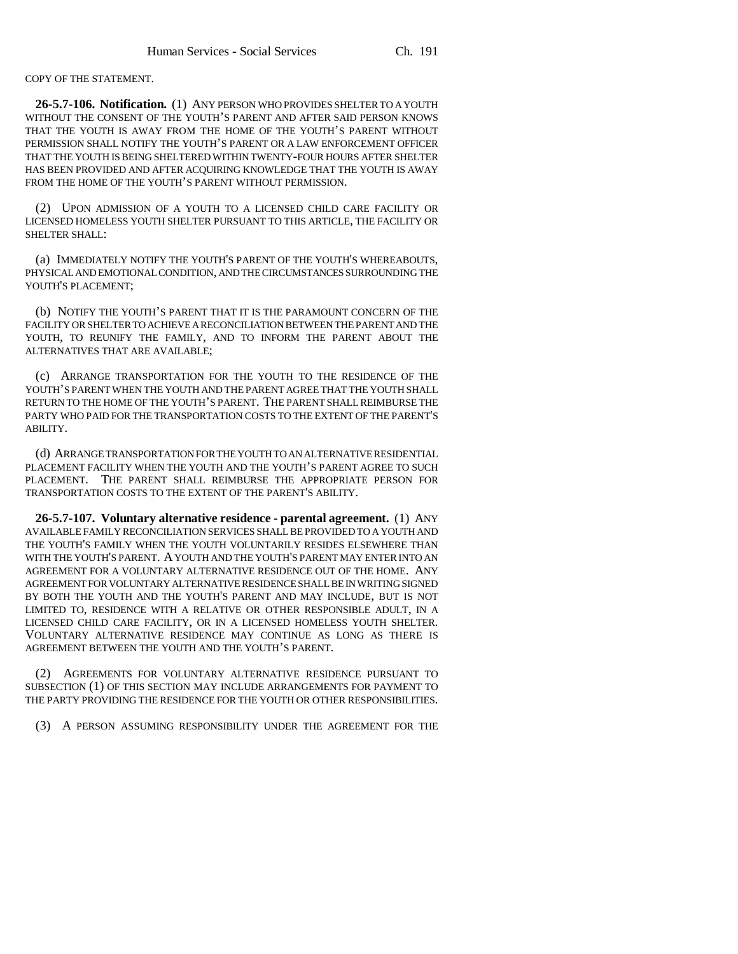COPY OF THE STATEMENT.

**26-5.7-106. Notification.** (1) ANY PERSON WHO PROVIDES SHELTER TO A YOUTH WITHOUT THE CONSENT OF THE YOUTH'S PARENT AND AFTER SAID PERSON KNOWS THAT THE YOUTH IS AWAY FROM THE HOME OF THE YOUTH'S PARENT WITHOUT PERMISSION SHALL NOTIFY THE YOUTH'S PARENT OR A LAW ENFORCEMENT OFFICER THAT THE YOUTH IS BEING SHELTERED WITHIN TWENTY-FOUR HOURS AFTER SHELTER HAS BEEN PROVIDED AND AFTER ACQUIRING KNOWLEDGE THAT THE YOUTH IS AWAY FROM THE HOME OF THE YOUTH'S PARENT WITHOUT PERMISSION.

(2) UPON ADMISSION OF A YOUTH TO A LICENSED CHILD CARE FACILITY OR LICENSED HOMELESS YOUTH SHELTER PURSUANT TO THIS ARTICLE, THE FACILITY OR SHELTER SHALL:

(a) IMMEDIATELY NOTIFY THE YOUTH'S PARENT OF THE YOUTH'S WHEREABOUTS, PHYSICAL AND EMOTIONAL CONDITION, AND THE CIRCUMSTANCES SURROUNDING THE YOUTH'S PLACEMENT;

(b) NOTIFY THE YOUTH'S PARENT THAT IT IS THE PARAMOUNT CONCERN OF THE FACILITY OR SHELTER TO ACHIEVE A RECONCILIATION BETWEEN THE PARENT AND THE YOUTH, TO REUNIFY THE FAMILY, AND TO INFORM THE PARENT ABOUT THE ALTERNATIVES THAT ARE AVAILABLE;

(c) ARRANGE TRANSPORTATION FOR THE YOUTH TO THE RESIDENCE OF THE YOUTH'S PARENT WHEN THE YOUTH AND THE PARENT AGREE THAT THE YOUTH SHALL RETURN TO THE HOME OF THE YOUTH'S PARENT. THE PARENT SHALL REIMBURSE THE PARTY WHO PAID FOR THE TRANSPORTATION COSTS TO THE EXTENT OF THE PARENT'S ABILITY.

(d) ARRANGE TRANSPORTATION FOR THE YOUTH TO AN ALTERNATIVE RESIDENTIAL PLACEMENT FACILITY WHEN THE YOUTH AND THE YOUTH'S PARENT AGREE TO SUCH PLACEMENT. THE PARENT SHALL REIMBURSE THE APPROPRIATE PERSON FOR TRANSPORTATION COSTS TO THE EXTENT OF THE PARENT'S ABILITY.

**26-5.7-107. Voluntary alternative residence - parental agreement.** (1) ANY AVAILABLE FAMILY RECONCILIATION SERVICES SHALL BE PROVIDED TO A YOUTH AND THE YOUTH'S FAMILY WHEN THE YOUTH VOLUNTARILY RESIDES ELSEWHERE THAN WITH THE YOUTH'S PARENT. A YOUTH AND THE YOUTH'S PARENT MAY ENTER INTO AN AGREEMENT FOR A VOLUNTARY ALTERNATIVE RESIDENCE OUT OF THE HOME. ANY AGREEMENT FOR VOLUNTARY ALTERNATIVE RESIDENCE SHALL BE IN WRITING SIGNED BY BOTH THE YOUTH AND THE YOUTH'S PARENT AND MAY INCLUDE, BUT IS NOT LIMITED TO, RESIDENCE WITH A RELATIVE OR OTHER RESPONSIBLE ADULT, IN A LICENSED CHILD CARE FACILITY, OR IN A LICENSED HOMELESS YOUTH SHELTER. VOLUNTARY ALTERNATIVE RESIDENCE MAY CONTINUE AS LONG AS THERE IS AGREEMENT BETWEEN THE YOUTH AND THE YOUTH'S PARENT.

(2) AGREEMENTS FOR VOLUNTARY ALTERNATIVE RESIDENCE PURSUANT TO SUBSECTION (1) OF THIS SECTION MAY INCLUDE ARRANGEMENTS FOR PAYMENT TO THE PARTY PROVIDING THE RESIDENCE FOR THE YOUTH OR OTHER RESPONSIBILITIES.

(3) A PERSON ASSUMING RESPONSIBILITY UNDER THE AGREEMENT FOR THE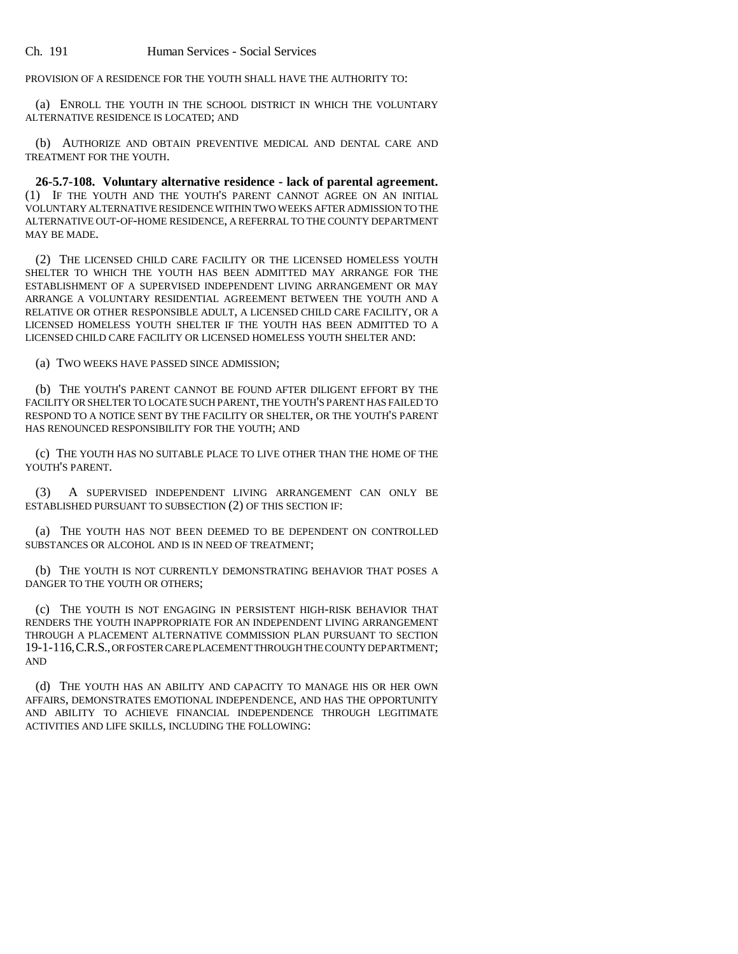PROVISION OF A RESIDENCE FOR THE YOUTH SHALL HAVE THE AUTHORITY TO:

(a) ENROLL THE YOUTH IN THE SCHOOL DISTRICT IN WHICH THE VOLUNTARY ALTERNATIVE RESIDENCE IS LOCATED; AND

(b) AUTHORIZE AND OBTAIN PREVENTIVE MEDICAL AND DENTAL CARE AND TREATMENT FOR THE YOUTH.

**26-5.7-108. Voluntary alternative residence - lack of parental agreement.** (1) IF THE YOUTH AND THE YOUTH'S PARENT CANNOT AGREE ON AN INITIAL VOLUNTARY ALTERNATIVE RESIDENCE WITHIN TWO WEEKS AFTER ADMISSION TO THE ALTERNATIVE OUT-OF-HOME RESIDENCE, A REFERRAL TO THE COUNTY DEPARTMENT MAY BE MADE.

(2) THE LICENSED CHILD CARE FACILITY OR THE LICENSED HOMELESS YOUTH SHELTER TO WHICH THE YOUTH HAS BEEN ADMITTED MAY ARRANGE FOR THE ESTABLISHMENT OF A SUPERVISED INDEPENDENT LIVING ARRANGEMENT OR MAY ARRANGE A VOLUNTARY RESIDENTIAL AGREEMENT BETWEEN THE YOUTH AND A RELATIVE OR OTHER RESPONSIBLE ADULT, A LICENSED CHILD CARE FACILITY, OR A LICENSED HOMELESS YOUTH SHELTER IF THE YOUTH HAS BEEN ADMITTED TO A LICENSED CHILD CARE FACILITY OR LICENSED HOMELESS YOUTH SHELTER AND:

(a) TWO WEEKS HAVE PASSED SINCE ADMISSION;

(b) THE YOUTH'S PARENT CANNOT BE FOUND AFTER DILIGENT EFFORT BY THE FACILITY OR SHELTER TO LOCATE SUCH PARENT, THE YOUTH'S PARENT HAS FAILED TO RESPOND TO A NOTICE SENT BY THE FACILITY OR SHELTER, OR THE YOUTH'S PARENT HAS RENOUNCED RESPONSIBILITY FOR THE YOUTH; AND

(c) THE YOUTH HAS NO SUITABLE PLACE TO LIVE OTHER THAN THE HOME OF THE YOUTH'S PARENT.

(3) A SUPERVISED INDEPENDENT LIVING ARRANGEMENT CAN ONLY BE ESTABLISHED PURSUANT TO SUBSECTION (2) OF THIS SECTION IF:

(a) THE YOUTH HAS NOT BEEN DEEMED TO BE DEPENDENT ON CONTROLLED SUBSTANCES OR ALCOHOL AND IS IN NEED OF TREATMENT;

(b) THE YOUTH IS NOT CURRENTLY DEMONSTRATING BEHAVIOR THAT POSES A DANGER TO THE YOUTH OR OTHERS;

(c) THE YOUTH IS NOT ENGAGING IN PERSISTENT HIGH-RISK BEHAVIOR THAT RENDERS THE YOUTH INAPPROPRIATE FOR AN INDEPENDENT LIVING ARRANGEMENT THROUGH A PLACEMENT ALTERNATIVE COMMISSION PLAN PURSUANT TO SECTION 19-1-116,C.R.S., OR FOSTER CARE PLACEMENT THROUGH THE COUNTY DEPARTMENT; AND

(d) THE YOUTH HAS AN ABILITY AND CAPACITY TO MANAGE HIS OR HER OWN AFFAIRS, DEMONSTRATES EMOTIONAL INDEPENDENCE, AND HAS THE OPPORTUNITY AND ABILITY TO ACHIEVE FINANCIAL INDEPENDENCE THROUGH LEGITIMATE ACTIVITIES AND LIFE SKILLS, INCLUDING THE FOLLOWING: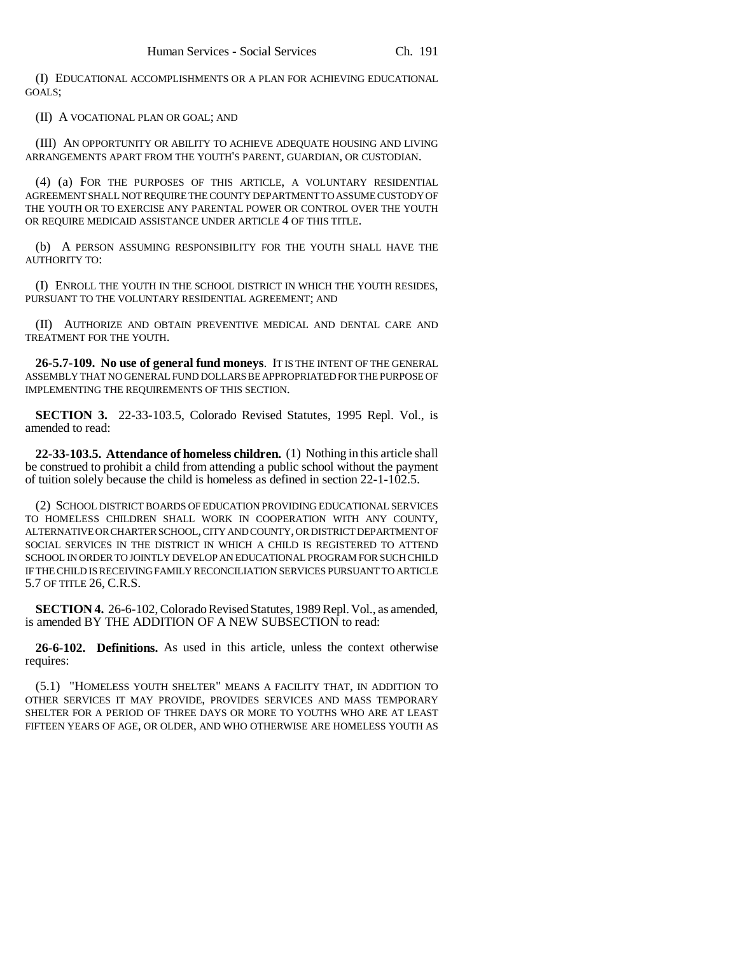(I) EDUCATIONAL ACCOMPLISHMENTS OR A PLAN FOR ACHIEVING EDUCATIONAL GOALS;

(II) A VOCATIONAL PLAN OR GOAL; AND

(III) AN OPPORTUNITY OR ABILITY TO ACHIEVE ADEQUATE HOUSING AND LIVING ARRANGEMENTS APART FROM THE YOUTH'S PARENT, GUARDIAN, OR CUSTODIAN.

(4) (a) FOR THE PURPOSES OF THIS ARTICLE, A VOLUNTARY RESIDENTIAL AGREEMENT SHALL NOT REQUIRE THE COUNTY DEPARTMENT TO ASSUME CUSTODY OF THE YOUTH OR TO EXERCISE ANY PARENTAL POWER OR CONTROL OVER THE YOUTH OR REQUIRE MEDICAID ASSISTANCE UNDER ARTICLE 4 OF THIS TITLE.

(b) A PERSON ASSUMING RESPONSIBILITY FOR THE YOUTH SHALL HAVE THE AUTHORITY TO:

(I) ENROLL THE YOUTH IN THE SCHOOL DISTRICT IN WHICH THE YOUTH RESIDES, PURSUANT TO THE VOLUNTARY RESIDENTIAL AGREEMENT; AND

(II) AUTHORIZE AND OBTAIN PREVENTIVE MEDICAL AND DENTAL CARE AND TREATMENT FOR THE YOUTH.

**26-5.7-109. No use of general fund moneys**. IT IS THE INTENT OF THE GENERAL ASSEMBLY THAT NO GENERAL FUND DOLLARS BE APPROPRIATED FOR THE PURPOSE OF IMPLEMENTING THE REQUIREMENTS OF THIS SECTION.

**SECTION 3.** 22-33-103.5, Colorado Revised Statutes, 1995 Repl. Vol., is amended to read:

**22-33-103.5. Attendance of homeless children.** (1) Nothing in this article shall be construed to prohibit a child from attending a public school without the payment of tuition solely because the child is homeless as defined in section 22-1-102.5.

(2) SCHOOL DISTRICT BOARDS OF EDUCATION PROVIDING EDUCATIONAL SERVICES TO HOMELESS CHILDREN SHALL WORK IN COOPERATION WITH ANY COUNTY, ALTERNATIVE OR CHARTER SCHOOL, CITY AND COUNTY, OR DISTRICT DEPARTMENT OF SOCIAL SERVICES IN THE DISTRICT IN WHICH A CHILD IS REGISTERED TO ATTEND SCHOOL IN ORDER TO JOINTLY DEVELOP AN EDUCATIONAL PROGRAM FOR SUCH CHILD IF THE CHILD IS RECEIVING FAMILY RECONCILIATION SERVICES PURSUANT TO ARTICLE 5.7 OF TITLE 26, C.R.S.

**SECTION 4.** 26-6-102, Colorado Revised Statutes, 1989 Repl. Vol., as amended, is amended BY THE ADDITION OF A NEW SUBSECTION to read:

**26-6-102. Definitions.** As used in this article, unless the context otherwise requires:

(5.1) "HOMELESS YOUTH SHELTER" MEANS A FACILITY THAT, IN ADDITION TO OTHER SERVICES IT MAY PROVIDE, PROVIDES SERVICES AND MASS TEMPORARY SHELTER FOR A PERIOD OF THREE DAYS OR MORE TO YOUTHS WHO ARE AT LEAST FIFTEEN YEARS OF AGE, OR OLDER, AND WHO OTHERWISE ARE HOMELESS YOUTH AS